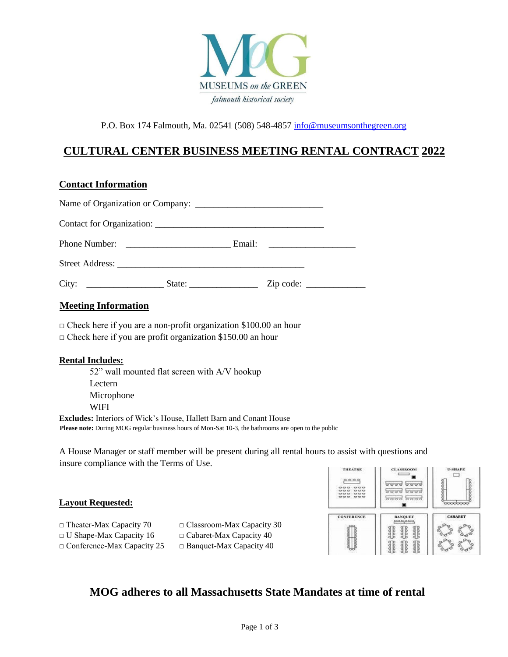

P.O. Box 174 Falmouth, Ma. 02541 (508) 548-4857 info@museumsonthegreen.org

# **CULTURAL CENTER BUSINESS MEETING RENTAL CONTRACT 2022**

### **Contact Information**

| Mosting Information |  |  |
|---------------------|--|--|

### **Meeting Information**

 $\Box$  Check here if you are a non-profit organization \$100.00 an hour

 $\Box$  Check here if you are profit organization \$150.00 an hour

#### **Rental Includes:**

52" wall mounted flat screen with A/V hookup Lectern Microphone WIFI **Excludes:** Interiors of Wick's House, Hallett Barn and Conant House

**Please note:** During MOG regular business hours of Mon-Sat 10-3, the bathrooms are open to the public

A House Manager or staff member will be present during all rental hours to assist with questions and insure compliance with the Terms of Use.

#### **Layout Requested:**

- $\Box$  Theater-Max Capacity 70  $\Box$  Classroom-Max Capacity 30
- $\Box$  U Shape-Max Capacity 16  $\Box$  Cabaret-Max Capacity 40
- $\Box$  Conference-Max Capacity 25  $\Box$  Banquet-Max Capacity 40



# **MOG adheres to all Massachusetts State Mandates at time of rental**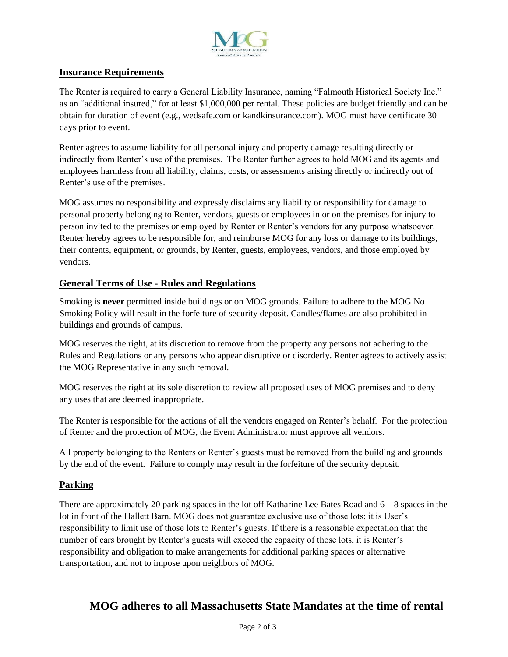

#### **Insurance Requirements**

The Renter is required to carry a General Liability Insurance, naming "Falmouth Historical Society Inc." as an "additional insured," for at least \$1,000,000 per rental. These policies are budget friendly and can be obtain for duration of event (e.g., wedsafe.com or kandkinsurance.com). MOG must have certificate 30 days prior to event.

Renter agrees to assume liability for all personal injury and property damage resulting directly or indirectly from Renter's use of the premises. The Renter further agrees to hold MOG and its agents and employees harmless from all liability, claims, costs, or assessments arising directly or indirectly out of Renter's use of the premises.

MOG assumes no responsibility and expressly disclaims any liability or responsibility for damage to personal property belonging to Renter, vendors, guests or employees in or on the premises for injury to person invited to the premises or employed by Renter or Renter's vendors for any purpose whatsoever. Renter hereby agrees to be responsible for, and reimburse MOG for any loss or damage to its buildings, their contents, equipment, or grounds, by Renter, guests, employees, vendors, and those employed by vendors.

### **General Terms of Use - Rules and Regulations**

Smoking is **never** permitted inside buildings or on MOG grounds. Failure to adhere to the MOG No Smoking Policy will result in the forfeiture of security deposit. Candles/flames are also prohibited in buildings and grounds of campus.

MOG reserves the right, at its discretion to remove from the property any persons not adhering to the Rules and Regulations or any persons who appear disruptive or disorderly. Renter agrees to actively assist the MOG Representative in any such removal.

MOG reserves the right at its sole discretion to review all proposed uses of MOG premises and to deny any uses that are deemed inappropriate.

The Renter is responsible for the actions of all the vendors engaged on Renter's behalf. For the protection of Renter and the protection of MOG, the Event Administrator must approve all vendors.

All property belonging to the Renters or Renter's guests must be removed from the building and grounds by the end of the event. Failure to comply may result in the forfeiture of the security deposit.

#### **Parking**

There are approximately 20 parking spaces in the lot off Katharine Lee Bates Road and  $6 - 8$  spaces in the lot in front of the Hallett Barn. MOG does not guarantee exclusive use of those lots; it is User's responsibility to limit use of those lots to Renter's guests. If there is a reasonable expectation that the number of cars brought by Renter's guests will exceed the capacity of those lots, it is Renter's responsibility and obligation to make arrangements for additional parking spaces or alternative transportation, and not to impose upon neighbors of MOG.

# **MOG adheres to all Massachusetts State Mandates at the time of rental**